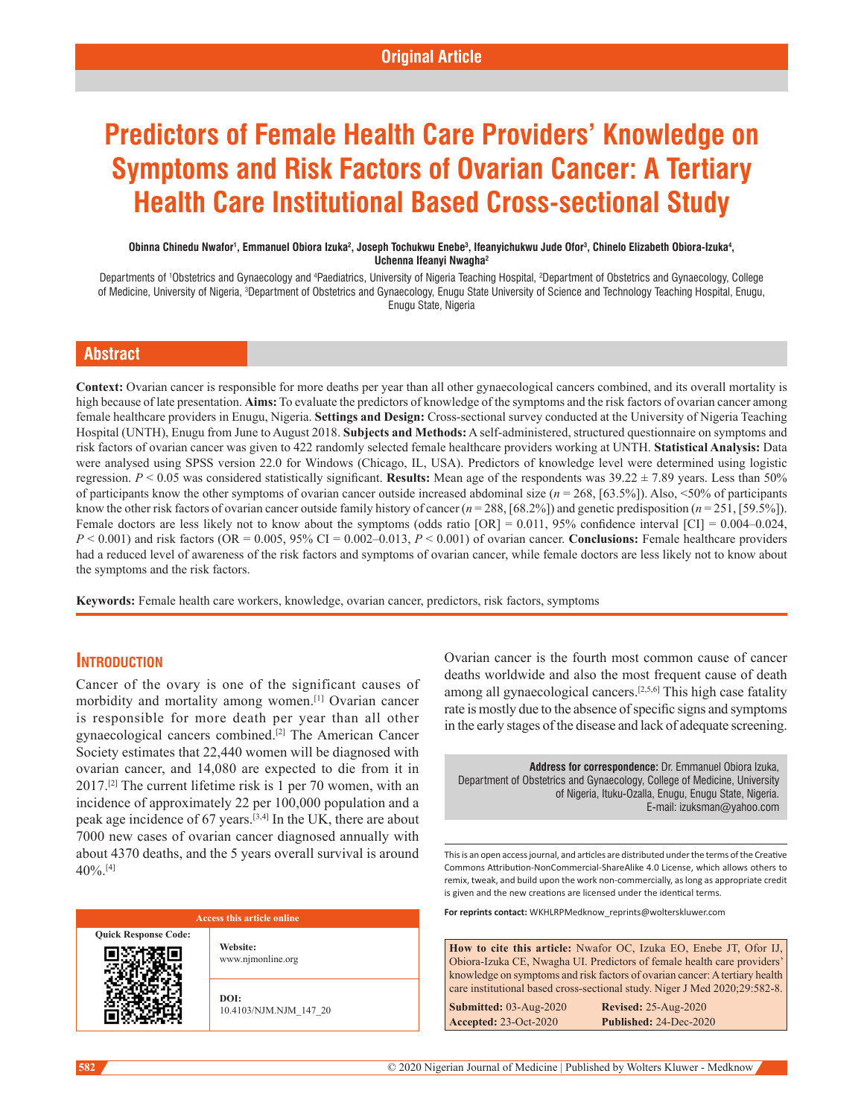# **Predictors of Female Health Care Providers' Knowledge on Symptoms and Risk Factors of Ovarian Cancer: A Tertiary Health Care Institutional Based Cross-sectional Study**

#### Obinna Chinedu Nwafor<sup>1</sup>, Emmanuel Obiora Izuka<sup>2</sup>, Joseph Tochukwu Enebe<sup>3</sup>, Ifeanyichukwu Jude Ofor<sup>3</sup>, Chinelo Elizabeth Obiora-Izuka<sup>4</sup>, **Uchenna Ifeanyi Nwagha2**

Departments of 'Obstetrics and Gynaecology and <sup>4</sup>Paediatrics, University of Nigeria Teaching Hospital, <sup>2</sup>Department of Obstetrics and Gynaecology, College of Medicine, University of Nigeria, <sup>3</sup>Department of Obstetrics and Gynaecology, Enugu State University of Science and Technology Teaching Hospital, Enugu, Enugu State, Nigeria

# **Abstract**

**Context:** Ovarian cancer is responsible for more deaths per year than all other gynaecological cancers combined, and its overall mortality is high because of late presentation. **Aims:** To evaluate the predictors of knowledge of the symptoms and the risk factors of ovarian cancer among female healthcare providers in Enugu, Nigeria. **Settings and Design:** Cross‑sectional survey conducted at the University of Nigeria Teaching Hospital (UNTH), Enugu from June to August 2018. **Subjects and Methods:** A self‑administered, structured questionnaire on symptoms and risk factors of ovarian cancer was given to 422 randomly selected female healthcare providers working at UNTH. **Statistical Analysis:** Data were analysed using SPSS version 22.0 for Windows (Chicago, IL, USA). Predictors of knowledge level were determined using logistic regression. *P* < 0.05 was considered statistically significant. **Results:** Mean age of the respondents was 39.22 ± 7.89 years. Less than 50% of participants know the other symptoms of ovarian cancer outside increased abdominal size (*n* = 268, [63.5%]). Also, <50% of participants know the other risk factors of ovarian cancer outside family history of cancer (*n* = 288, [68.2%]) and genetic predisposition (*n* = 251, [59.5%]). Female doctors are less likely not to know about the symptoms (odds ratio  $[OR] = 0.011$ , 95% confidence interval  $[CI] = 0.004 - 0.024$ ,  $P < 0.001$  and risk factors (OR =  $0.005$ ,  $95\%$  CI =  $0.002-0.013$ ,  $P < 0.001$ ) of ovarian cancer. **Conclusions:** Female healthcare providers had a reduced level of awareness of the risk factors and symptoms of ovarian cancer, while female doctors are less likely not to know about the symptoms and the risk factors.

**Keywords:** Female health care workers, knowledge, ovarian cancer, predictors, risk factors, symptoms

# **INTRODUCTION**

Cancer of the ovary is one of the significant causes of morbidity and mortality among women.[1] Ovarian cancer is responsible for more death per year than all other gynaecological cancers combined.[2] The American Cancer Society estimates that 22,440 women will be diagnosed with ovarian cancer, and 14,080 are expected to die from it in 2017.[2] The current lifetime risk is 1 per 70 women, with an incidence of approximately 22 per 100,000 population and a peak age incidence of 67 years.[3,4] In the UK, there are about 7000 new cases of ovarian cancer diagnosed annually with about 4370 deaths, and the 5 years overall survival is around 40%.[4]



Ovarian cancer is the fourth most common cause of cancer deaths worldwide and also the most frequent cause of death among all gynaecological cancers.[2,5,6] This high case fatality rate is mostly due to the absence of specific signs and symptoms in the early stages of the disease and lack of adequate screening.

**Address for correspondence:** Dr. Emmanuel Obiora Izuka, Department of Obstetrics and Gynaecology, College of Medicine, University of Nigeria, Ituku-Ozalla, Enugu, Enugu State, Nigeria. E-mail: izuksman@yahoo.com

This is an open access journal, and articles are distributed under the terms of the Creative Commons Attribution‑NonCommercial‑ShareAlike 4.0 License, which allows others to remix, tweak, and build upon the work non‑commercially, as long as appropriate credit is given and the new creations are licensed under the identical terms.

**For reprints contact:** WKHLRPMedknow\_reprints@wolterskluwer.com

|                                                                                                                                                           | <b>How to cite this article:</b> Nwafor OC, Izuka EO, Enebe JT, Ofor IJ, |  |  |  |
|-----------------------------------------------------------------------------------------------------------------------------------------------------------|--------------------------------------------------------------------------|--|--|--|
|                                                                                                                                                           | Obiora-Izuka CE, Nwagha UI. Predictors of female health care providers'  |  |  |  |
| knowledge on symptoms and risk factors of ovarian cancer: A tertiary health<br>care institutional based cross-sectional study. Niger J Med 2020;29:582-8. |                                                                          |  |  |  |
| Submitted: 03-Aug-2020                                                                                                                                    | <b>Revised: 25-Aug-2020</b>                                              |  |  |  |
| <b>Accepted: 23-Oct-2020</b>                                                                                                                              | Published: 24-Dec-2020                                                   |  |  |  |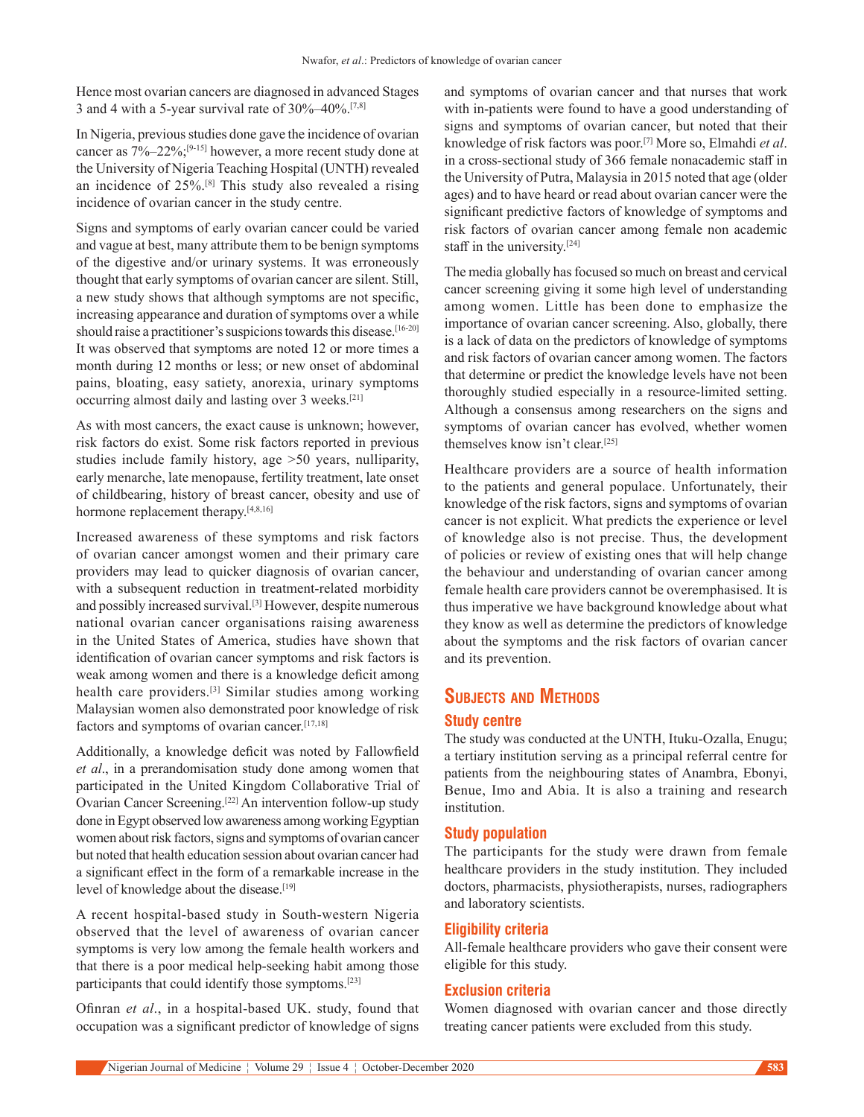Hence most ovarian cancers are diagnosed in advanced Stages 3 and 4 with a 5-year survival rate of 30%–40%.[7,8]

In Nigeria, previous studies done gave the incidence of ovarian cancer as 7%–22%;[9-15] however, a more recent study done at the University of Nigeria Teaching Hospital (UNTH) revealed an incidence of 25%.[8] This study also revealed a rising incidence of ovarian cancer in the study centre.

Signs and symptoms of early ovarian cancer could be varied and vague at best, many attribute them to be benign symptoms of the digestive and/or urinary systems. It was erroneously thought that early symptoms of ovarian cancer are silent. Still, a new study shows that although symptoms are not specific, increasing appearance and duration of symptoms over a while should raise a practitioner's suspicions towards this disease.<sup>[16-20]</sup> It was observed that symptoms are noted 12 or more times a month during 12 months or less; or new onset of abdominal pains, bloating, easy satiety, anorexia, urinary symptoms occurring almost daily and lasting over 3 weeks.[21]

As with most cancers, the exact cause is unknown; however, risk factors do exist. Some risk factors reported in previous studies include family history, age >50 years, nulliparity, early menarche, late menopause, fertility treatment, late onset of childbearing, history of breast cancer, obesity and use of hormone replacement therapy.<sup>[4,8,16]</sup>

Increased awareness of these symptoms and risk factors of ovarian cancer amongst women and their primary care providers may lead to quicker diagnosis of ovarian cancer, with a subsequent reduction in treatment-related morbidity and possibly increased survival.<sup>[3]</sup> However, despite numerous national ovarian cancer organisations raising awareness in the United States of America, studies have shown that identification of ovarian cancer symptoms and risk factors is weak among women and there is a knowledge deficit among health care providers.[3] Similar studies among working Malaysian women also demonstrated poor knowledge of risk factors and symptoms of ovarian cancer.[17,18]

Additionally, a knowledge deficit was noted by Fallowfield *et al*., in a prerandomisation study done among women that participated in the United Kingdom Collaborative Trial of Ovarian Cancer Screening.<sup>[22]</sup> An intervention follow-up study done in Egypt observed low awareness among working Egyptian women about risk factors, signs and symptoms of ovarian cancer but noted that health education session about ovarian cancer had a significant effect in the form of a remarkable increase in the level of knowledge about the disease.<sup>[19]</sup>

A recent hospital‑based study in South‑western Nigeria observed that the level of awareness of ovarian cancer symptoms is very low among the female health workers and that there is a poor medical help‑seeking habit among those participants that could identify those symptoms.[23]

Ofinran *et al.*, in a hospital-based UK. study, found that occupation was a significant predictor of knowledge of signs and symptoms of ovarian cancer and that nurses that work with in-patients were found to have a good understanding of signs and symptoms of ovarian cancer, but noted that their knowledge of risk factors was poor.[7] More so, Elmahdi *et al*. in a cross-sectional study of 366 female nonacademic staff in the University of Putra, Malaysia in 2015 noted that age (older ages) and to have heard or read about ovarian cancer were the significant predictive factors of knowledge of symptoms and risk factors of ovarian cancer among female non academic staff in the university.[24]

The media globally has focused so much on breast and cervical cancer screening giving it some high level of understanding among women. Little has been done to emphasize the importance of ovarian cancer screening. Also, globally, there is a lack of data on the predictors of knowledge of symptoms and risk factors of ovarian cancer among women. The factors that determine or predict the knowledge levels have not been thoroughly studied especially in a resource-limited setting. Although a consensus among researchers on the signs and symptoms of ovarian cancer has evolved, whether women themselves know isn't clear.[25]

Healthcare providers are a source of health information to the patients and general populace. Unfortunately, their knowledge of the risk factors, signs and symptoms of ovarian cancer is not explicit. What predicts the experience or level of knowledge also is not precise. Thus, the development of policies or review of existing ones that will help change the behaviour and understanding of ovarian cancer among female health care providers cannot be overemphasised. It is thus imperative we have background knowledge about what they know as well as determine the predictors of knowledge about the symptoms and the risk factors of ovarian cancer and its prevention.

# **Subjects and Methods Study centre**

The study was conducted at the UNTH, Ituku-Ozalla, Enugu; a tertiary institution serving as a principal referral centre for patients from the neighbouring states of Anambra, Ebonyi, Benue, Imo and Abia. It is also a training and research institution.

# **Study population**

The participants for the study were drawn from female healthcare providers in the study institution. They included doctors, pharmacists, physiotherapists, nurses, radiographers and laboratory scientists.

#### **Eligibility criteria**

All-female healthcare providers who gave their consent were eligible for this study.

#### **Exclusion criteria**

Women diagnosed with ovarian cancer and those directly treating cancer patients were excluded from this study.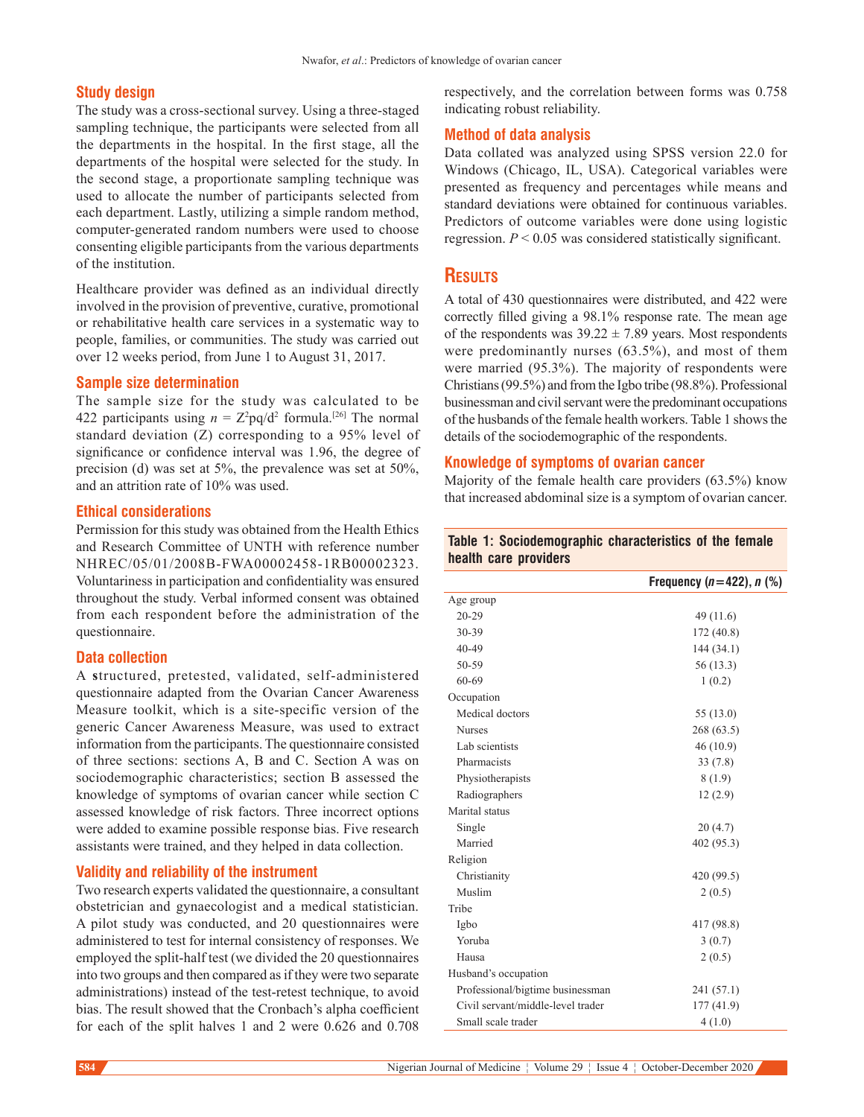#### **Study design**

The study was a cross-sectional survey. Using a three-staged sampling technique, the participants were selected from all the departments in the hospital. In the first stage, all the departments of the hospital were selected for the study. In the second stage, a proportionate sampling technique was used to allocate the number of participants selected from each department. Lastly, utilizing a simple random method, computer‑generated random numbers were used to choose consenting eligible participants from the various departments of the institution.

Healthcare provider was defined as an individual directly involved in the provision of preventive, curative, promotional or rehabilitative health care services in a systematic way to people, families, or communities. The study was carried out over 12 weeks period, from June 1 to August 31, 2017.

#### **Sample size determination**

The sample size for the study was calculated to be 422 participants using  $n = Z^2 pq/d^2$  formula.<sup>[26]</sup> The normal standard deviation (Z) corresponding to a 95% level of significance or confidence interval was 1.96, the degree of precision (d) was set at 5%, the prevalence was set at 50%, and an attrition rate of 10% was used.

# **Ethical considerations**

Permission for this study was obtained from the Health Ethics and Research Committee of UNTH with reference number NHREC/05/01/2008B‑FWA00002458‑1RB00002323. Voluntariness in participation and confidentiality was ensured throughout the study. Verbal informed consent was obtained from each respondent before the administration of the questionnaire.

#### **Data collection**

A **s**tructured, pretested, validated, self‑administered questionnaire adapted from the Ovarian Cancer Awareness Measure toolkit, which is a site-specific version of the generic Cancer Awareness Measure, was used to extract information from the participants. The questionnaire consisted of three sections: sections A, B and C. Section A was on sociodemographic characteristics; section B assessed the knowledge of symptoms of ovarian cancer while section C assessed knowledge of risk factors. Three incorrect options were added to examine possible response bias. Five research assistants were trained, and they helped in data collection.

#### **Validity and reliability of the instrument**

Two research experts validated the questionnaire, a consultant obstetrician and gynaecologist and a medical statistician. A pilot study was conducted, and 20 questionnaires were administered to test for internal consistency of responses. We employed the split-half test (we divided the 20 questionnaires into two groups and then compared as if they were two separate administrations) instead of the test-retest technique, to avoid bias. The result showed that the Cronbach's alpha coefficient for each of the split halves 1 and 2 were 0.626 and 0.708

respectively, and the correlation between forms was 0.758 indicating robust reliability.

#### **Method of data analysis**

Data collated was analyzed using SPSS version 22.0 for Windows (Chicago, IL, USA). Categorical variables were presented as frequency and percentages while means and standard deviations were obtained for continuous variables. Predictors of outcome variables were done using logistic regression. *P* < 0.05 was considered statistically significant.

## **Results**

A total of 430 questionnaires were distributed, and 422 were correctly filled giving a 98.1% response rate. The mean age of the respondents was  $39.22 \pm 7.89$  years. Most respondents were predominantly nurses (63.5%), and most of them were married (95.3%). The majority of respondents were Christians(99.5%) and from the Igbo tribe (98.8%). Professional businessman and civil servant were the predominant occupations of the husbands of the female health workers. Table 1 shows the details of the sociodemographic of the respondents.

#### **Knowledge of symptoms of ovarian cancer**

Majority of the female health care providers (63.5%) know that increased abdominal size is a symptom of ovarian cancer.

#### **Table 1: Sociodemographic characteristics of the female health care providers**

|                                   | Frequency ( $n = 422$ ), $n$ (%) |
|-----------------------------------|----------------------------------|
| Age group                         |                                  |
| $20 - 29$                         | 49 (11.6)                        |
| 30-39                             | 172 (40.8)                       |
| 40-49                             | 144 (34.1)                       |
| 50-59                             | 56 (13.3)                        |
| 60-69                             | 1(0.2)                           |
| Occupation                        |                                  |
| Medical doctors                   | 55 (13.0)                        |
| <b>Nurses</b>                     | 268(63.5)                        |
| Lab scientists                    | 46 (10.9)                        |
| Pharmacists                       | 33(7.8)                          |
| Physiotherapists                  | 8(1.9)                           |
| Radiographers                     | 12(2.9)                          |
| Marital status                    |                                  |
| Single                            | 20(4.7)                          |
| Married                           | 402 (95.3)                       |
| Religion                          |                                  |
| Christianity                      | 420 (99.5)                       |
| Muslim                            | 2(0.5)                           |
| Tribe                             |                                  |
| Igbo                              | 417 (98.8)                       |
| Yoruba                            | 3(0.7)                           |
| Hausa                             | 2(0.5)                           |
| Husband's occupation              |                                  |
| Professional/bigtime businessman  | 241 (57.1)                       |
| Civil servant/middle-level trader | 177 (41.9)                       |
| Small scale trader                | 4(1.0)                           |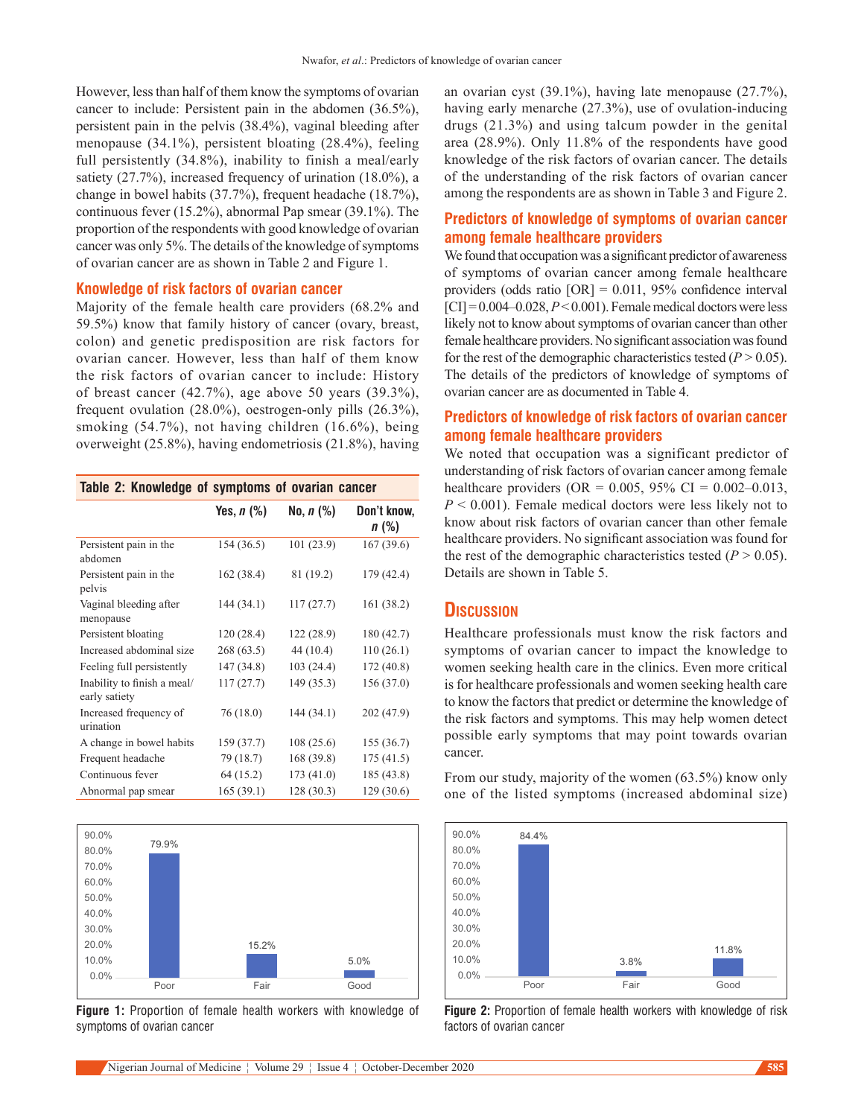However, less than half of them know the symptoms of ovarian cancer to include: Persistent pain in the abdomen (36.5%), persistent pain in the pelvis (38.4%), vaginal bleeding after menopause (34.1%), persistent bloating (28.4%), feeling full persistently (34.8%), inability to finish a meal/early satiety (27.7%), increased frequency of urination (18.0%), a change in bowel habits (37.7%), frequent headache (18.7%), continuous fever (15.2%), abnormal Pap smear (39.1%). The proportion of the respondents with good knowledge of ovarian cancer was only 5%. The details of the knowledge of symptoms of ovarian cancer are as shown in Table 2 and Figure 1.

#### **Knowledge of risk factors of ovarian cancer**

Majority of the female health care providers (68.2% and 59.5%) know that family history of cancer (ovary, breast, colon) and genetic predisposition are risk factors for ovarian cancer. However, less than half of them know the risk factors of ovarian cancer to include: History of breast cancer (42.7%), age above 50 years (39.3%), frequent ovulation (28.0%), oestrogen-only pills (26.3%), smoking (54.7%), not having children (16.6%), being overweight (25.8%), having endometriosis (21.8%), having

| Table 2: Knowledge of symptoms of ovarian cancer |                   |                  |                        |
|--------------------------------------------------|-------------------|------------------|------------------------|
|                                                  | Yes, <i>n</i> (%) | No, <i>n</i> (%) | Don't know,<br>$n$ (%) |
| Persistent pain in the<br>abdomen                | 154 (36.5)        | 101 (23.9)       | 167 (39.6)             |
| Persistent pain in the<br>pelvis                 | 162 (38.4)        | 81 (19.2)        | 179 (42.4)             |
| Vaginal bleeding after<br>menopause              | 144 (34.1)        | 117(27.7)        | 161 (38.2)             |
| Persistent bloating                              | 120 (28.4)        | 122 (28.9)       | 180 (42.7)             |
| Increased abdominal size                         | 268(63.5)         | 44 (10.4)        | 110(26.1)              |
| Feeling full persistently                        | 147 (34.8)        | 103(24.4)        | 172 (40.8)             |
| Inability to finish a meal/<br>early satiety     | 117(27.7)         | 149 (35.3)       | 156 (37.0)             |
| Increased frequency of<br>urination              | 76(18.0)          | 144 (34.1)       | 202 (47.9)             |
| A change in bowel habits                         | 159 (37.7)        | 108(25.6)        | 155 (36.7)             |
| Frequent headache                                | 79 (18.7)         | 168 (39.8)       | 175 (41.5)             |
| Continuous fever                                 | 64 (15.2)         | 173 (41.0)       | 185 (43.8)             |
| Abnormal pap smear                               | 165 (39.1)        | 128 (30.3)       | 129 (30.6)             |



**Figure 1:** Proportion of female health workers with knowledge of symptoms of ovarian cancer

an ovarian cyst (39.1%), having late menopause (27.7%), having early menarche (27.3%), use of ovulation-inducing drugs (21.3%) and using talcum powder in the genital area (28.9%). Only 11.8% of the respondents have good knowledge of the risk factors of ovarian cancer. The details of the understanding of the risk factors of ovarian cancer among the respondents are as shown in Table 3 and Figure 2.

# **Predictors of knowledge of symptoms of ovarian cancer among female healthcare providers**

We found that occupation was a significant predictor of awareness of symptoms of ovarian cancer among female healthcare providers (odds ratio [OR] = 0.011, 95% confidence interval  $|CI| = 0.004 - 0.028$ ,  $P < 0.001$ ). Female medical doctors were less likely not to know about symptoms of ovarian cancer than other female healthcare providers. No significant association was found for the rest of the demographic characteristics tested  $(P > 0.05)$ . The details of the predictors of knowledge of symptoms of ovarian cancer are as documented in Table 4.

# **Predictors of knowledge of risk factors of ovarian cancer among female healthcare providers**

We noted that occupation was a significant predictor of understanding of risk factors of ovarian cancer among female healthcare providers (OR = 0.005, 95% CI = 0.002–0.013, *P* < 0.001). Female medical doctors were less likely not to know about risk factors of ovarian cancer than other female healthcare providers. No significant association was found for the rest of the demographic characteristics tested  $(P > 0.05)$ . Details are shown in Table 5.

## **Discussion**

Healthcare professionals must know the risk factors and symptoms of ovarian cancer to impact the knowledge to women seeking health care in the clinics. Even more critical is for healthcare professionals and women seeking health care to know the factors that predict or determine the knowledge of the risk factors and symptoms. This may help women detect possible early symptoms that may point towards ovarian cancer.

From our study, majority of the women (63.5%) know only one of the listed symptoms (increased abdominal size)



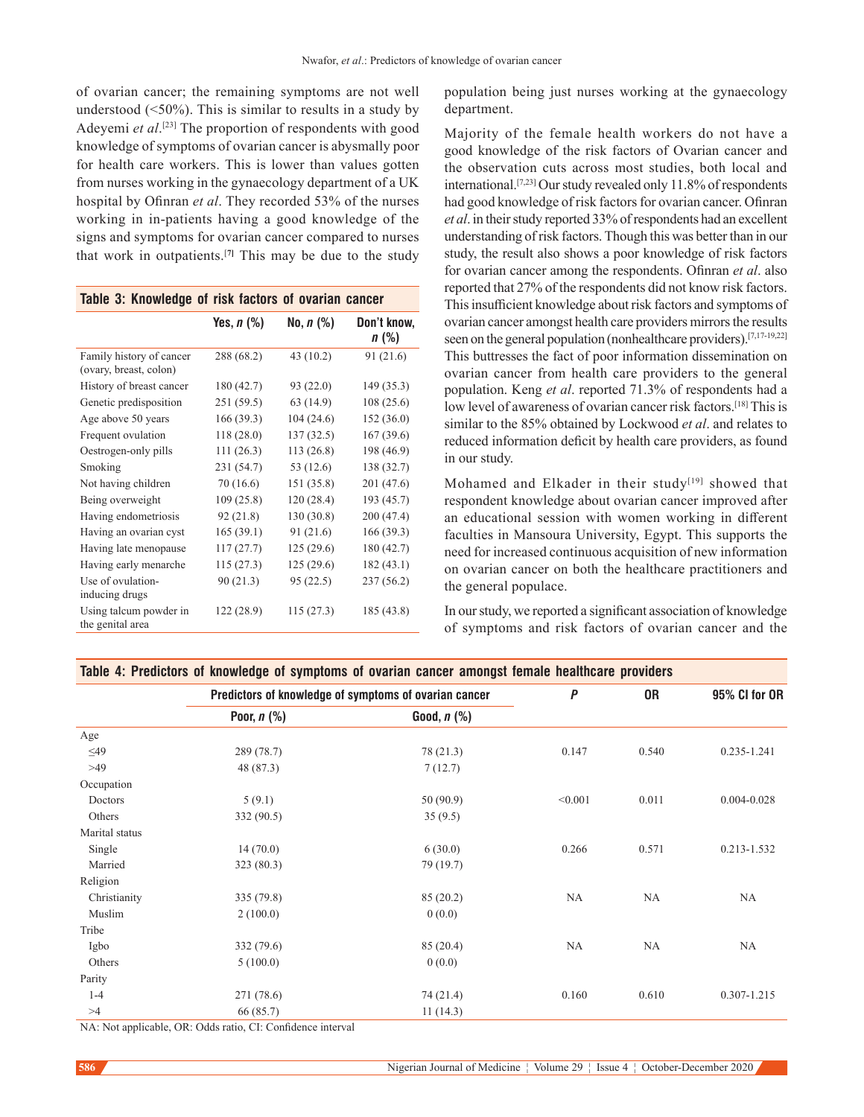of ovarian cancer; the remaining symptoms are not well understood  $(50\%)$ . This is similar to results in a study by Adeyemi *et al*. [23] The proportion of respondents with good knowledge of symptoms of ovarian cancer is abysmally poor for health care workers. This is lower than values gotten from nurses working in the gynaecology department of a UK hospital by Ofinran *et al*. They recorded 53% of the nurses working in in‑patients having a good knowledge of the signs and symptoms for ovarian cancer compared to nurses that work in outpatients.[**7]** This may be due to the study

| Table 3: Knowledge of risk factors of ovarian cancer |              |                     |                     |  |
|------------------------------------------------------|--------------|---------------------|---------------------|--|
|                                                      | Yes, $n$ (%) | No. <i>n</i> $(\%)$ | Don't know,<br>n(%) |  |
| Family history of cancer<br>(ovary, breast, colon)   | 288 (68.2)   | 43 (10.2)           | 91 (21.6)           |  |
| History of breast cancer                             | 180 (42.7)   | 93 (22.0)           | 149 (35.3)          |  |
| Genetic predisposition                               | 251 (59.5)   | 63 (14.9)           | 108(25.6)           |  |
| Age above 50 years                                   | 166 (39.3)   | 104(24.6)           | 152 (36.0)          |  |
| Frequent ovulation                                   | 118(28.0)    | 137(32.5)           | 167(39.6)           |  |
| Oestrogen-only pills                                 | 111(26.3)    | 113 (26.8)          | 198 (46.9)          |  |
| Smoking                                              | 231 (54.7)   | 53 (12.6)           | 138 (32.7)          |  |
| Not having children                                  | 70(16.6)     | 151 (35.8)          | 201 (47.6)          |  |
| Being overweight                                     | 109(25.8)    | 120(28.4)           | 193 (45.7)          |  |
| Having endometriosis                                 | 92 (21.8)    | 130 (30.8)          | 200 (47.4)          |  |
| Having an ovarian cyst                               | 165(39.1)    | 91(21.6)            | 166(39.3)           |  |
| Having late menopause                                | 117(27.7)    | 125(29.6)           | 180 (42.7)          |  |
| Having early menarche                                | 115(27.3)    | 125(29.6)           | 182(43.1)           |  |
| Use of ovulation-<br>inducing drugs                  | 90(21.3)     | 95 (22.5)           | 237 (56.2)          |  |
| Using talcum powder in<br>the genital area           | 122 (28.9)   | 115 (27.3)          | 185 (43.8)          |  |

population being just nurses working at the gynaecology department.

Majority of the female health workers do not have a good knowledge of the risk factors of Ovarian cancer and the observation cuts across most studies, both local and international.[7,23] Our study revealed only 11.8% of respondents had good knowledge of risk factors for ovarian cancer. Ofinran *et al*. in their study reported 33% of respondents had an excellent understanding of risk factors. Though this was better than in our study, the result also shows a poor knowledge of risk factors for ovarian cancer among the respondents. Ofinran *et al*. also reported that 27% of the respondents did not know risk factors. This insufficient knowledge about risk factors and symptoms of ovarian cancer amongst health care providers mirrors the results seen on the general population (nonhealthcare providers).[7,17-19,22] This buttresses the fact of poor information dissemination on ovarian cancer from health care providers to the general population. Keng *et al*. reported 71.3% of respondents had a low level of awareness of ovarian cancer risk factors.<sup>[18]</sup> This is similar to the 85% obtained by Lockwood *et al*. and relates to reduced information deficit by health care providers, as found in our study.

Mohamed and Elkader in their study<sup>[19]</sup> showed that respondent knowledge about ovarian cancer improved after an educational session with women working in different faculties in Mansoura University, Egypt. This supports the need for increased continuous acquisition of new information on ovarian cancer on both the healthcare practitioners and the general populace.

In our study, we reported a significant association of knowledge of symptoms and risk factors of ovarian cancer and the

| Table 4: Predictors of knowledge of symptoms of ovarian cancer amongst female healthcare providers |                  |           |       |                 |  |  |
|----------------------------------------------------------------------------------------------------|------------------|-----------|-------|-----------------|--|--|
| Predictors of knowledge of symptoms of ovarian cancer                                              |                  | P         | 0R    | 95% CI for OR   |  |  |
| Poor, $n$ $%$                                                                                      | Good, $n$ $(\%)$ |           |       |                 |  |  |
|                                                                                                    |                  |           |       |                 |  |  |
| 289 (78.7)                                                                                         | 78 (21.3)        | 0.147     | 0.540 | 0.235-1.241     |  |  |
| 48 (87.3)                                                                                          | 7(12.7)          |           |       |                 |  |  |
|                                                                                                    |                  |           |       |                 |  |  |
| 5(9.1)                                                                                             | 50(90.9)         | < 0.001   | 0.011 | $0.004 - 0.028$ |  |  |
| 332 (90.5)                                                                                         | 35(9.5)          |           |       |                 |  |  |
|                                                                                                    |                  |           |       |                 |  |  |
| 14(70.0)                                                                                           | 6(30.0)          | 0.266     | 0.571 | 0.213-1.532     |  |  |
| 323 (80.3)                                                                                         | 79 (19.7)        |           |       |                 |  |  |
|                                                                                                    |                  |           |       |                 |  |  |
| 335 (79.8)                                                                                         | 85 (20.2)        | <b>NA</b> | NA    | NA              |  |  |
| 2(100.0)                                                                                           | 0(0.0)           |           |       |                 |  |  |
|                                                                                                    |                  |           |       |                 |  |  |
| 332(79.6)                                                                                          | 85 (20.4)        | <b>NA</b> | NA    | <b>NA</b>       |  |  |
| 5(100.0)                                                                                           | 0(0.0)           |           |       |                 |  |  |
|                                                                                                    |                  |           |       |                 |  |  |
| 271 (78.6)                                                                                         | 74 (21.4)        | 0.160     | 0.610 | 0.307-1.215     |  |  |
| 66 (85.7)                                                                                          | 11(14.3)         |           |       |                 |  |  |
|                                                                                                    |                  |           |       |                 |  |  |

NA: Not applicable, OR: Odds ratio, CI: Confidence interval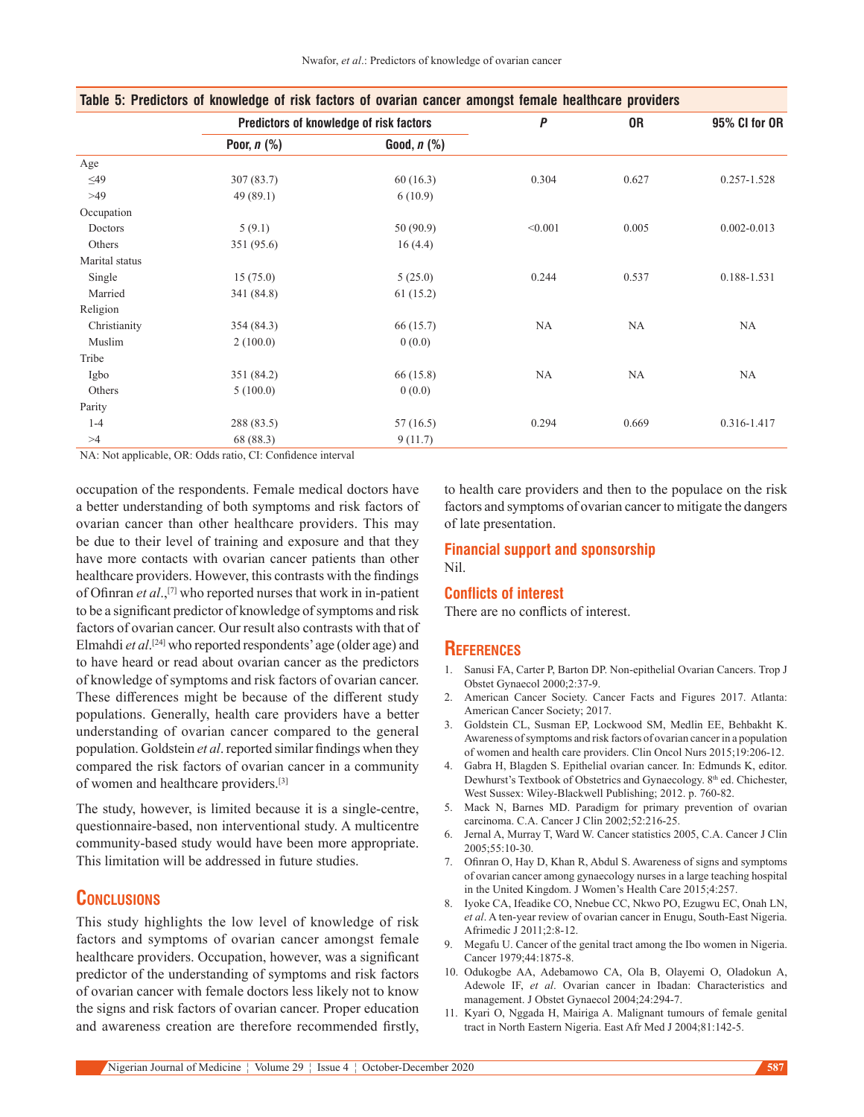|                |               | Predictors of knowledge of risk factors |           | 0R        | 95% CI for OR   |
|----------------|---------------|-----------------------------------------|-----------|-----------|-----------------|
|                | Poor, $n$ (%) | Good, $n$ $(\%)$                        |           |           |                 |
| Age            |               |                                         |           |           |                 |
| $\leq$ 49      | 307(83.7)     | 60(16.3)                                | 0.304     | 0.627     | $0.257 - 1.528$ |
| >49            | 49(89.1)      | 6(10.9)                                 |           |           |                 |
| Occupation     |               |                                         |           |           |                 |
| Doctors        | 5(9.1)        | 50(90.9)                                | < 0.001   | 0.005     | $0.002 - 0.013$ |
| Others         | 351 (95.6)    | 16(4.4)                                 |           |           |                 |
| Marital status |               |                                         |           |           |                 |
| Single         | 15(75.0)      | 5(25.0)                                 | 0.244     | 0.537     | 0.188-1.531     |
| Married        | 341 (84.8)    | 61(15.2)                                |           |           |                 |
| Religion       |               |                                         |           |           |                 |
| Christianity   | 354 (84.3)    | 66 (15.7)                               | <b>NA</b> | NA        | NA              |
| Muslim         | 2(100.0)      | 0(0.0)                                  |           |           |                 |
| Tribe          |               |                                         |           |           |                 |
| Igbo           | 351 (84.2)    | 66 (15.8)                               | <b>NA</b> | <b>NA</b> | <b>NA</b>       |
| Others         | 5(100.0)      | 0(0.0)                                  |           |           |                 |
| Parity         |               |                                         |           |           |                 |
| $1 - 4$        | 288 (83.5)    | 57 (16.5)                               | 0.294     | 0.669     | 0.316-1.417     |
| >4             | 68 (88.3)     | 9(11.7)                                 |           |           |                 |

**Table 5: Predictors of knowledge of risk factors of ovarian cancer amongst female healthcare providers**

NA: Not applicable, OR: Odds ratio, CI: Confidence interval

occupation of the respondents. Female medical doctors have a better understanding of both symptoms and risk factors of ovarian cancer than other healthcare providers. This may be due to their level of training and exposure and that they have more contacts with ovarian cancer patients than other healthcare providers. However, this contrasts with the findings of Ofinran *et al*.,[7] who reported nurses that work in in‑patient to be a significant predictor of knowledge of symptoms and risk factors of ovarian cancer. Our result also contrasts with that of Elmahdi et al.<sup>[24]</sup> who reported respondents' age (older age) and to have heard or read about ovarian cancer as the predictors of knowledge of symptoms and risk factors of ovarian cancer. These differences might be because of the different study populations. Generally, health care providers have a better understanding of ovarian cancer compared to the general population. Goldstein *et al*. reported similar findings when they compared the risk factors of ovarian cancer in a community of women and healthcare providers.[3]

The study, however, is limited because it is a single-centre, questionnaire‑based, non interventional study. A multicentre community-based study would have been more appropriate. This limitation will be addressed in future studies.

# **Conclusions**

This study highlights the low level of knowledge of risk factors and symptoms of ovarian cancer amongst female healthcare providers. Occupation, however, was a significant predictor of the understanding of symptoms and risk factors of ovarian cancer with female doctors less likely not to know the signs and risk factors of ovarian cancer. Proper education and awareness creation are therefore recommended firstly, to health care providers and then to the populace on the risk factors and symptoms of ovarian cancer to mitigate the dangers of late presentation.

# **Financial support and sponsorship**

Nil.

#### **Conflicts of interest**

There are no conflicts of interest.

#### **References**

- 1. Sanusi FA, Carter P, Barton DP. Non‑epithelial Ovarian Cancers. Trop J Obstet Gynaecol 2000;2:37‑9.
- 2. American Cancer Society. Cancer Facts and Figures 2017. Atlanta: American Cancer Society; 2017.
- 3. Goldstein CL, Susman EP, Lockwood SM, Medlin EE, Behbakht K. Awareness of symptoms and risk factors of ovarian cancer in a population of women and health care providers. Clin Oncol Nurs 2015;19:206-12.
- 4. Gabra H, Blagden S. Epithelial ovarian cancer. In: Edmunds K, editor. Dewhurst's Textbook of Obstetrics and Gynaecology. 8th ed. Chichester, West Sussex: Wiley‑Blackwell Publishing; 2012. p. 760‑82.
- 5. Mack N, Barnes MD. Paradigm for primary prevention of ovarian carcinoma. C.A. Cancer J Clin 2002;52:216‑25.
- 6. Jernal A, Murray T, Ward W. Cancer statistics 2005, C.A. Cancer J Clin 2005;55:10‑30.
- 7. Ofinran O, Hay D, Khan R, Abdul S. Awareness of signs and symptoms of ovarian cancer among gynaecology nurses in a large teaching hospital in the United Kingdom. J Women's Health Care 2015;4:257.
- 8. Iyoke CA, Ifeadike CO, Nnebue CC, Nkwo PO, Ezugwu EC, Onah LN, *et al*. A ten‑year review of ovarian cancer in Enugu, South‑East Nigeria. Afrimedic J 2011;2:8‑12.
- 9. Megafu U. Cancer of the genital tract among the Ibo women in Nigeria. Cancer 1979;44:1875‑8.
- 10. Odukogbe AA, Adebamowo CA, Ola B, Olayemi O, Oladokun A, Adewole IF, *et al*. Ovarian cancer in Ibadan: Characteristics and management. J Obstet Gynaecol 2004;24:294‑7.
- 11. Kyari O, Nggada H, Mairiga A. Malignant tumours of female genital tract in North Eastern Nigeria. East Afr Med J 2004;81:142‑5.